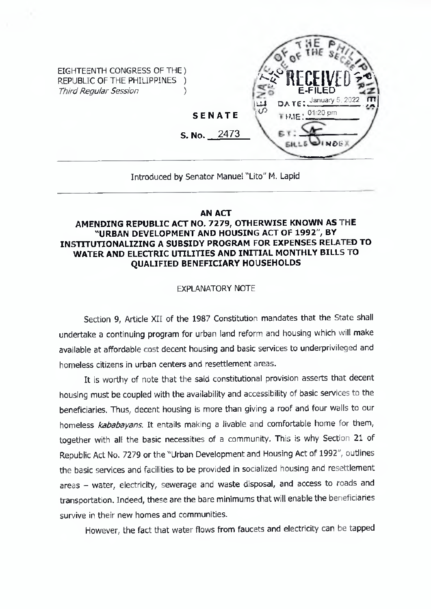

## Introduced by Senator Manuel "Lito" M. Lapid

#### **AN ACT**

### **AMENDING REPUBLIC ACT NO. 7279, OTHERWISE KNOWN AS THE "URBAN DEVELOPMENT AND HOUSING ACT OF 1992", BY INSTITUTIONALIZING A SUBSIDY PROGRAM FOR EXPENSES RELATED TO WATER AND ELECTRIC UTILITIES AND INITIAL MONTHLY BILLS TO QUALIFIED BENEFICIARY HOUSEHOLDS**

### EXPLANATORY NOTE

Section 9, Article XII of the 1987 Constitution mandates that the State shall undertake a continuing program for urban land reform and housing which will make available at affordable cost decent housing and basic services to underprivileged and homeless citizens in urban centers and resettlement areas.

It is worthy of note that the said constitutional provision asserts that decent housing must be coupled with the availability and accessibility of basic services to the beneficiaries. Thus, decent housing is more than giving a roof and four walls to our homeless *kababayans.* It entails making <sup>a</sup> livable and comfortable home for them, together with all the basic necessities of a community. This is why Section 21 of Republic Act No. 7279 or the "Urban Development and Housing Act of 1992", outlines the basic services and facilities to be provided in socialized housing and resettlement areas - water, electricity, sewerage and waste disposal, and access to roads and transportation. Indeed, these are the bare minimums that will enable the beneficiaries survive in their new homes and communities.

However, the fact that water flows from faucets and electricity can be tapped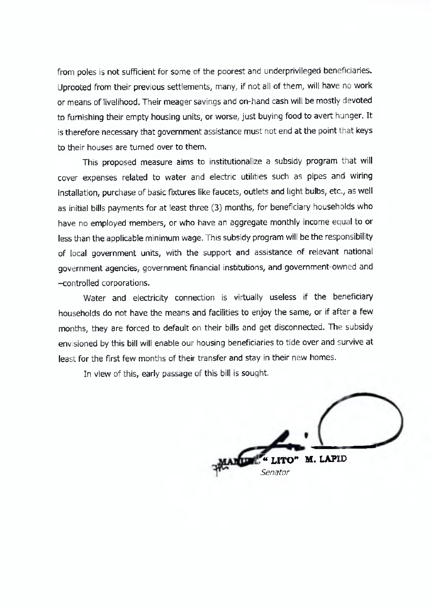from poles is not sufficient for some of the poorest and underprivileged beneficiaries. Uprooted from their previous settlements, many, if not all of them, \will have no work or means of livelihood. Their meager savings and on-hand cash will be mostly devoted to furnishing their empty housing units, or worse, just buying food to avert hunger. It is therefore necessary that government assistance must not end at the point that keys to their houses are turned over to them.

This proposed measure aims to institutionalize a subsidy program that will cover expenses related to water and electric utilities such as pipes and wiring installation, purchase of basic fixtures like faucets, outlets and light bulbs, etc., as well as initial bills payments for at least three (3) months, for beneficiary households who have no employed members, or who have an aggregate monthly income equal to or less than the applicable minimum wage. This subsidy program will be the responsibility of local government units, with the support and assistance of relevant national government agencies, government financial institutions, and government-owned and -controlled corporations.

Water and electricity connection is virtually useless if the beneficiary households do not have the means and facilities to enjoy the same, or if after a few months, they are forced to default on their bills and get disconnected. The subsidy envisioned by this bill will enable our housing beneficiaries to tide over and survive at least for the first few months of their transfer and stay in their new homes.

In view of this, early passage of this bill is sought.

*u UTO"* **M. LAPID** *Senator*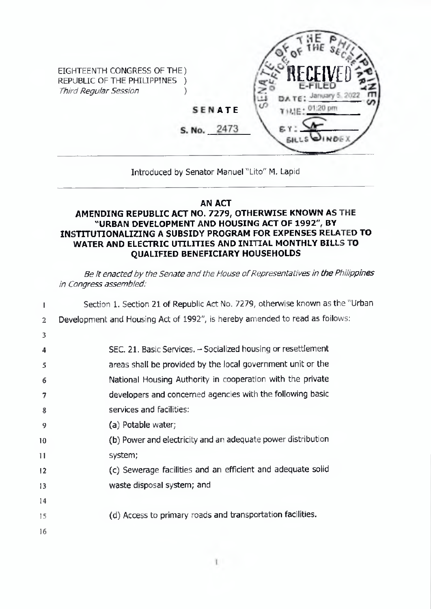

# Introduced by Senator Manuel "Lito" M. Lapid

# **AN ACT**

# **AMENDING REPUBLIC ACT NO. 7279, OTHERWISE KNOWN AS THE "URBAN DEVELOPMENT AND HOUSING ACT OF 1992", BY INSTITUTIONALIZING A SUBSIDY PROGRAM FOR EXPENSES RELATED TO WATER AND ELECTRIC UTILITIES AND INITIAL MONTHLY BILLS TO QUALIFIED BENEFICIARY HOUSEHOLDS**

*Be It* enacted by the Senate and the House of Representatives in the Philippines *in Congress assembled:*

|                 | Section 1. Section 21 of Republic Act No. 7279, otherwise known as the "Urban |
|-----------------|-------------------------------------------------------------------------------|
| $\overline{2}$  | Development and Housing Act of 1992", is hereby amended to read as foilows:   |
| 3               |                                                                               |
| 4               | SEC. 21. Basic Services. - Socialized housing or resettlement                 |
| 5               | areas shall be provided by the local government unit or the                   |
| 6               | National Housing Authority in cooperation with the private                    |
| 7               | developers and concerned agencies with the following basic                    |
| 8               | services and facilities:                                                      |
| 9               | (a) Potable water;                                                            |
| 10              | (b) Power and electricity and an adequate power distribution                  |
| $\overline{11}$ | system;                                                                       |
| 12              | (c) Sewerage facilities and an efficient and adequate solid                   |
| 13              | waste disposal system; and                                                    |
| 14              |                                                                               |
| 15              | (d) Access to primary roads and transportation facilities.                    |
| 16              |                                                                               |
|                 |                                                                               |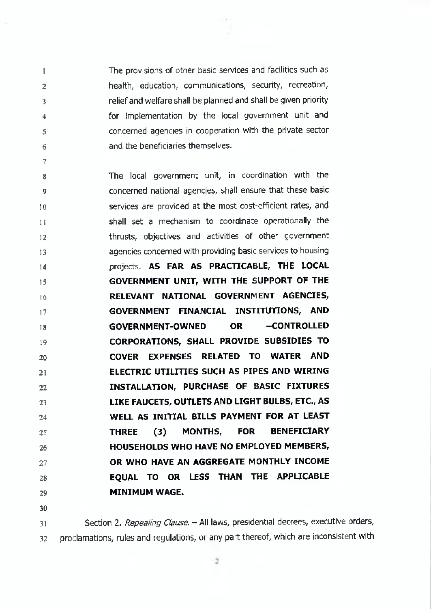The provisions of other basic services and facilities such as health, education, communications, security, recreation, relief and welfare shall be planned and shall be given priority for implementation by the local government unit and concerned agencies in cooperation with the private sector and the beneficiaries themselves.

8 **9 10 11 12 13** 14 15 16 17 **18 19 20 21 22 23** 24 **25 26 27 28 29** The local government unit, in coordination with the concerned national agencies, shall ensure that these basic services are provided at the most cost-efficient rates, and shall set a mechanism to coordinate operationally the thrusts, objectives and activities of other government agencies concerned with providing basic services to housing projects. AS FAR AS PRACTICABLE, THE LOCAL GOVERNMENT UNIT, WITH THE SUPPORT OF THE RELEVANT NATIONAL GOVERNMENT AGENCIES, GOVERNMENT FINANCIAL INSTITUTIONS, AND GOVERNMENT-OWNED OR -CONTROLLED CORPORATIONS, SHALL PROVIDE SUBSIDIES TO COVER EXPENSES RELATED TO WATER AND ELECTRIC UTILITIES SUCH AS PIPES AND WIRING INSTALLATION, PURCHASE OF BASIC FIXTURES LIKE FAUCETS, OUTLETS AND LIGHT BULBS, ETC., AS WELL AS INITIAL BILLS PAYMENT FOR AT LEAST THREE (3) MONTHS, FOR BENEFICIARY HOUSEHOLDS WHO HAVE NO EMPLOYED MEMBERS, OR WHO HAVE AN AGGREGATE MONTHLY INCOME EQUAL TO OR LESS THAN THE APPUCABLE MINIMUM WAGE.

**30**

1

2

3 4

**5**

6 7

**31 32** Section 2. *Repealing Clause. -* All laws, presidential decrees, executive orders, proclamations, rules and regulations, or any part thereof, which are inconsistent with